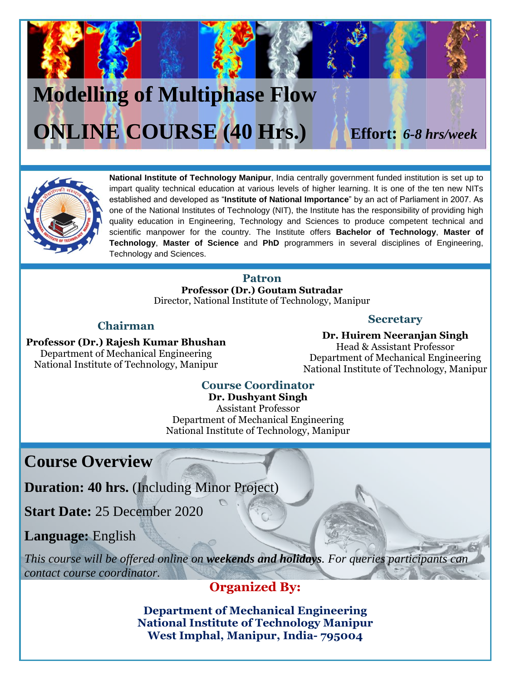# **Modelling of Multiphase Flow ONLINE COURSE (40 Hrs.) Effort:** *6-8 hrs/week*



**National Institute of Technology Manipur**, India centrally government funded institution is set up to impart quality technical education at various levels of higher learning. It is one of the ten new NITs established and developed as "**Institute of National Importance**" by an act of Parliament in 2007. As one of the National Institutes of Technology (NIT), the Institute has the responsibility of providing high quality education in Engineering, Technology and Sciences to produce competent technical and scientific manpower for the country. The Institute offers **Bachelor of Technology**, **Master of Technology**, **Master of Science** and **PhD** programmers in several disciplines of Engineering, Technology and Sciences.

#### **Patron**

**Professor (Dr.) Goutam Sutradar** Director, National Institute of Technology, Manipur

#### **Chairman**

#### **Secretary**

**Professor (Dr.) Rajesh Kumar Bhushan** Department of Mechanical Engineering National Institute of Technology, Manipur

**Dr. Huirem Neeranjan Singh** Head & Assistant Professor Department of Mechanical Engineering National Institute of Technology, Manipur

#### **Course Coordinator**

**Dr. Dushyant Singh** Assistant Professor Department of Mechanical Engineering National Institute of Technology, Manipur

**Course Overview**

**Duration: 40 hrs.** (Including Minor Project)

**Start Date:** 25 December 2020

**Language:** English

*This course will be offered online on weekends and holidays. For queries participants can contact course coordinator.* 

#### **Organized By:**

**Department of Mechanical Engineering National Institute of Technology Manipur West Imphal, Manipur, India- 795004**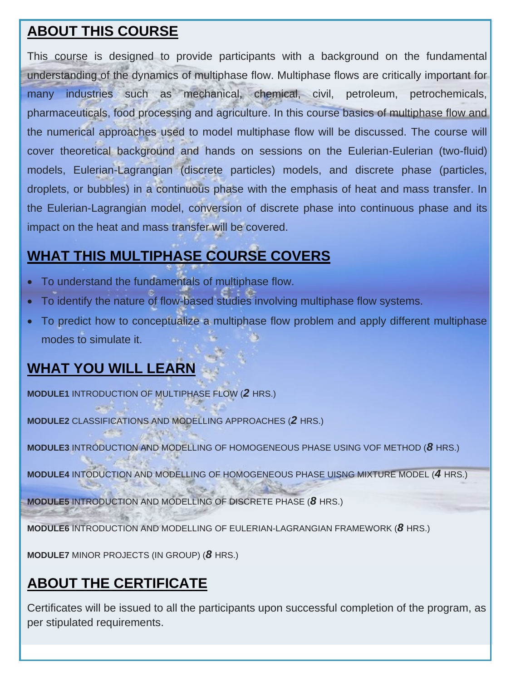### **ABOUT THIS COURSE**

This course is designed to provide participants with a background on the fundamental understanding of the dynamics of multiphase flow. Multiphase flows are critically important for many industries such as mechanical, chemical, civil, petroleum, petrochemicals, pharmaceuticals, food processing and agriculture. In this course basics of multiphase flow and the numerical approaches used to model multiphase flow will be discussed. The course will cover theoretical background and hands on sessions on the Eulerian-Eulerian (two-fluid) models, Eulerian-Lagrangian (discrete particles) models, and discrete phase (particles, droplets, or bubbles) in a continuous phase with the emphasis of heat and mass transfer. In the Eulerian-Lagrangian model, conversion of discrete phase into continuous phase and its impact on the heat and mass transfer will be covered.

## **WHAT THIS MULTIPHASE COURSE COVERS**

- To understand the fundamentals of multiphase flow.
- To identify the nature of flow-based studies involving multiphase flow systems.
- To predict how to conceptualize a multiphase flow problem and apply different multiphase modes to simulate it.

## **WHAT YOU WILL LEARN**

**MODULE1** INTRODUCTION OF MULTIPHASE FLOW (*2* HRS.)

**MODULE2** CLASSIFICATIONS AND MODELLING APPROACHES (*2* HRS.)

**MODULE3** INTRODUCTION AND MODELLING OF HOMOGENEOUS PHASE USING VOF METHOD (*8* HRS.)

**MODULE4** INTODUCTION AND MODELLING OF HOMOGENEOUS PHASE UISNG MIXTURE MODEL (*4* HRS.)

**MODULE5** INTRODUCTION AND MODELLING OF DISCRETE PHASE (*8* HRS.)

**MODULE6** INTRODUCTION AND MODELLING OF EULERIAN-LAGRANGIAN FRAMEWORK (*8* HRS.)

**MODULE7** MINOR PROJECTS (IN GROUP) (*8* HRS.)

### **ABOUT THE CERTIFICATE**

Certificates will be issued to all the participants upon successful completion of the program, as per stipulated requirements.